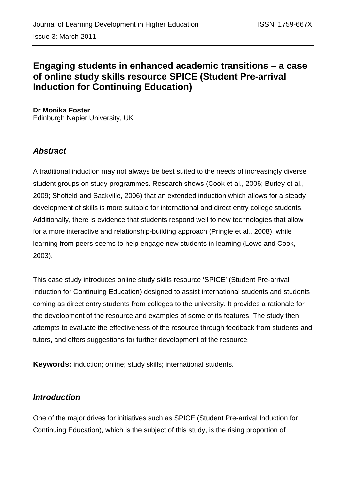# **Engaging students in enhanced academic transitions – a case of online study skills resource SPICE (Student Pre-arrival Induction for Continuing Education)**

**Dr Monika Foster**  Edinburgh Napier University, UK

# *Abstract*

A traditional induction may not always be best suited to the needs of increasingly diverse student groups on study programmes. Research shows (Cook et al., 2006; Burley et al., 2009; Shofield and Sackville, 2006) that an extended induction which allows for a steady development of skills is more suitable for international and direct entry college students. Additionally, there is evidence that students respond well to new technologies that allow for a more interactive and relationship-building approach (Pringle et al., 2008), while learning from peers seems to help engage new students in learning (Lowe and Cook, 2003).

This case study introduces online study skills resource 'SPICE' (Student Pre-arrival Induction for Continuing Education) designed to assist international students and students coming as direct entry students from colleges to the university. It provides a rationale for the development of the resource and examples of some of its features. The study then attempts to evaluate the effectiveness of the resource through feedback from students and tutors, and offers suggestions for further development of the resource.

**Keywords:** induction; online; study skills; international students.

## *Introduction*

One of the major drives for initiatives such as SPICE (Student Pre-arrival Induction for Continuing Education), which is the subject of this study, is the rising proportion of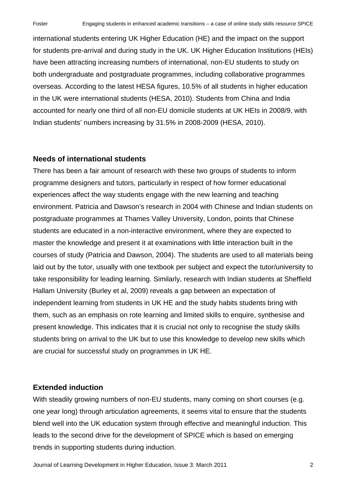international students entering UK Higher Education (HE) and the impact on the support for students pre-arrival and during study in the UK. UK Higher Education Institutions (HEIs) have been attracting increasing numbers of international, non-EU students to study on both undergraduate and postgraduate programmes, including collaborative programmes overseas. According to the latest HESA figures, 10.5% of all students in higher education in the UK were international students (HESA, 2010). Students from China and India accounted for nearly one third of all non-EU domicile students at UK HEIs in 2008/9, with Indian students' numbers increasing by 31.5% in 2008-2009 (HESA, 2010).

### **Needs of international students**

There has been a fair amount of research with these two groups of students to inform programme designers and tutors, particularly in respect of how former educational experiences affect the way students engage with the new learning and teaching environment. Patricia and Dawson's research in 2004 with Chinese and Indian students on postgraduate programmes at Thames Valley University, London, points that Chinese students are educated in a non-interactive environment, where they are expected to master the knowledge and present it at examinations with little interaction built in the courses of study (Patricia and Dawson, 2004). The students are used to all materials being laid out by the tutor, usually with one textbook per subject and expect the tutor/university to take responsibility for leading learning. Similarly, research with Indian students at Sheffield Hallam University (Burley et al, 2009) reveals a gap between an expectation of independent learning from students in UK HE and the study habits students bring with them, such as an emphasis on rote learning and limited skills to enquire, synthesise and present knowledge. This indicates that it is crucial not only to recognise the study skills students bring on arrival to the UK but to use this knowledge to develop new skills which are crucial for successful study on programmes in UK HE.

### **Extended induction**

With steadily growing numbers of non-EU students, many coming on short courses (e.g. one year long) through articulation agreements, it seems vital to ensure that the students blend well into the UK education system through effective and meaningful induction. This leads to the second drive for the development of SPICE which is based on emerging trends in supporting students during induction.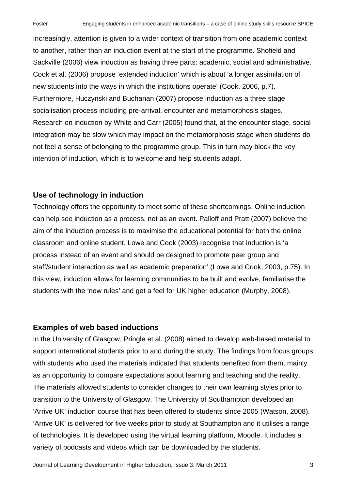Increasingly, attention is given to a wider context of transition from one academic context to another, rather than an induction event at the start of the programme. Shofield and Sackville (2006) view induction as having three parts: academic, social and administrative. Cook et al. (2006) propose 'extended induction' which is about 'a longer assimilation of new students into the ways in which the institutions operate' (Cook, 2006, p.7). Furthermore, Huczynski and Buchanan (2007) propose induction as a three stage socialisation process including pre-arrival, encounter and metamorphosis stages. Research on induction by White and Carr (2005) found that, at the encounter stage, social integration may be slow which may impact on the metamorphosis stage when students do not feel a sense of belonging to the programme group. This in turn may block the key intention of induction, which is to welcome and help students adapt.

## **Use of technology in induction**

Technology offers the opportunity to meet some of these shortcomings. Online induction can help see induction as a process, not as an event. Palloff and Pratt (2007) believe the aim of the induction process is to maximise the educational potential for both the online classroom and online student. Lowe and Cook (2003) recognise that induction is 'a process instead of an event and should be designed to promote peer group and staff/student interaction as well as academic preparation' (Lowe and Cook, 2003, p.75). In this view, induction allows for learning communities to be built and evolve, familiarise the students with the 'new rules' and get a feel for UK higher education (Murphy, 2008).

### **Examples of web based inductions**

In the University of Glasgow, Pringle et al. (2008) aimed to develop web-based material to support international students prior to and during the study. The findings from focus groups with students who used the materials indicated that students benefited from them, mainly as an opportunity to compare expectations about learning and teaching and the reality. The materials allowed students to consider changes to their own learning styles prior to transition to the University of Glasgow. The University of Southampton developed an 'Arrive UK' induction course that has been offered to students since 2005 (Watson, 2008). 'Arrive UK' is delivered for five weeks prior to study at Southampton and it utilises a range of technologies. It is developed using the virtual learning platform, Moodle. It includes a variety of podcasts and videos which can be downloaded by the students.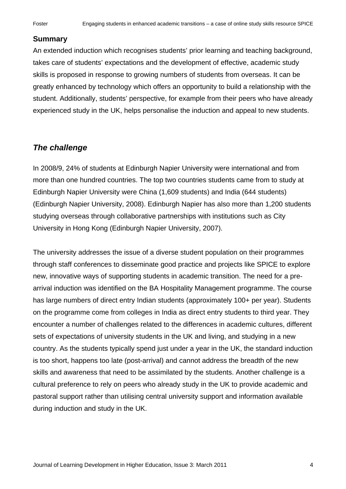### **Summary**

An extended induction which recognises students' prior learning and teaching background, takes care of students' expectations and the development of effective, academic study skills is proposed in response to growing numbers of students from overseas. It can be greatly enhanced by technology which offers an opportunity to build a relationship with the student. Additionally, students' perspective, for example from their peers who have already experienced study in the UK, helps personalise the induction and appeal to new students.

## *The challenge*

In 2008/9, 24% of students at Edinburgh Napier University were international and from more than one hundred countries. The top two countries students came from to study at Edinburgh Napier University were China (1,609 students) and India (644 students) (Edinburgh Napier University, 2008). Edinburgh Napier has also more than 1,200 students studying overseas through collaborative partnerships with institutions such as City University in Hong Kong (Edinburgh Napier University, 2007).

The university addresses the issue of a diverse student population on their programmes through staff conferences to disseminate good practice and projects like SPICE to explore new, innovative ways of supporting students in academic transition. The need for a prearrival induction was identified on the BA Hospitality Management programme. The course has large numbers of direct entry Indian students (approximately 100+ per year). Students on the programme come from colleges in India as direct entry students to third year. They encounter a number of challenges related to the differences in academic cultures, different sets of expectations of university students in the UK and living, and studying in a new country. As the students typically spend just under a year in the UK, the standard induction is too short, happens too late (post-arrival) and cannot address the breadth of the new skills and awareness that need to be assimilated by the students. Another challenge is a cultural preference to rely on peers who already study in the UK to provide academic and pastoral support rather than utilising central university support and information available during induction and study in the UK.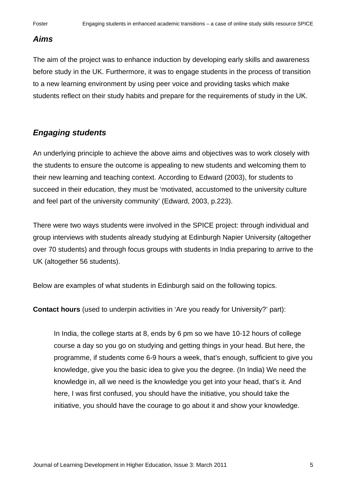### *Aims*

The aim of the project was to enhance induction by developing early skills and awareness before study in the UK. Furthermore, it was to engage students in the process of transition to a new learning environment by using peer voice and providing tasks which make students reflect on their study habits and prepare for the requirements of study in the UK.

## *Engaging students*

An underlying principle to achieve the above aims and objectives was to work closely with the students to ensure the outcome is appealing to new students and welcoming them to their new learning and teaching context. According to Edward (2003), for students to succeed in their education, they must be 'motivated, accustomed to the university culture and feel part of the university community' (Edward, 2003, p.223).

There were two ways students were involved in the SPICE project: through individual and group interviews with students already studying at Edinburgh Napier University (altogether over 70 students) and through focus groups with students in India preparing to arrive to the UK (altogether 56 students).

Below are examples of what students in Edinburgh said on the following topics.

**Contact hours** (used to underpin activities in 'Are you ready for University?' part):

In India, the college starts at 8, ends by 6 pm so we have 10-12 hours of college course a day so you go on studying and getting things in your head. But here, the programme, if students come 6-9 hours a week, that's enough, sufficient to give you knowledge, give you the basic idea to give you the degree. (In India) We need the knowledge in, all we need is the knowledge you get into your head, that's it. And here, I was first confused, you should have the initiative, you should take the initiative, you should have the courage to go about it and show your knowledge.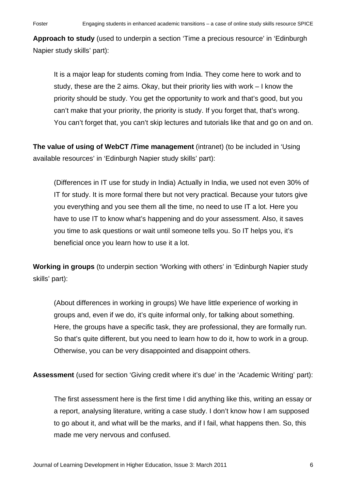**Approach to study** (used to underpin a section 'Time a precious resource' in 'Edinburgh Napier study skills' part):

It is a major leap for students coming from India. They come here to work and to study, these are the 2 aims. Okay, but their priority lies with work – I know the priority should be study. You get the opportunity to work and that's good, but you can't make that your priority, the priority is study. If you forget that, that's wrong. You can't forget that, you can't skip lectures and tutorials like that and go on and on.

**The value of using of WebCT /Time management** (intranet) (to be included in 'Using available resources' in 'Edinburgh Napier study skills' part):

(Differences in IT use for study in India) Actually in India, we used not even 30% of IT for study. It is more formal there but not very practical. Because your tutors give you everything and you see them all the time, no need to use IT a lot. Here you have to use IT to know what's happening and do your assessment. Also, it saves you time to ask questions or wait until someone tells you. So IT helps you, it's beneficial once you learn how to use it a lot.

**Working in groups** (to underpin section 'Working with others' in 'Edinburgh Napier study skills' part):

(About differences in working in groups) We have little experience of working in groups and, even if we do, it's quite informal only, for talking about something. Here, the groups have a specific task, they are professional, they are formally run. So that's quite different, but you need to learn how to do it, how to work in a group. Otherwise, you can be very disappointed and disappoint others.

**Assessment** (used for section 'Giving credit where it's due' in the 'Academic Writing' part):

The first assessment here is the first time I did anything like this, writing an essay or a report, analysing literature, writing a case study. I don't know how I am supposed to go about it, and what will be the marks, and if I fail, what happens then. So, this made me very nervous and confused.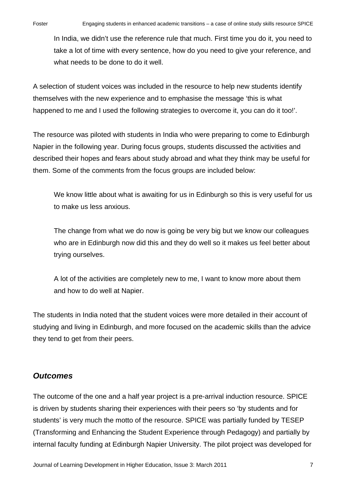In India, we didn't use the reference rule that much. First time you do it, you need to take a lot of time with every sentence, how do you need to give your reference, and what needs to be done to do it well.

A selection of student voices was included in the resource to help new students identify themselves with the new experience and to emphasise the message 'this is what happened to me and I used the following strategies to overcome it, you can do it too!'.

The resource was piloted with students in India who were preparing to come to Edinburgh Napier in the following year. During focus groups, students discussed the activities and described their hopes and fears about study abroad and what they think may be useful for them. Some of the comments from the focus groups are included below:

We know little about what is awaiting for us in Edinburgh so this is very useful for us to make us less anxious.

The change from what we do now is going be very big but we know our colleagues who are in Edinburgh now did this and they do well so it makes us feel better about trying ourselves.

A lot of the activities are completely new to me, I want to know more about them and how to do well at Napier.

The students in India noted that the student voices were more detailed in their account of studying and living in Edinburgh, and more focused on the academic skills than the advice they tend to get from their peers.

# *Outcomes*

The outcome of the one and a half year project is a pre-arrival induction resource. SPICE is driven by students sharing their experiences with their peers so 'by students and for students' is very much the motto of the resource. SPICE was partially funded by TESEP (Transforming and Enhancing the Student Experience through Pedagogy) and partially by internal faculty funding at Edinburgh Napier University. The pilot project was developed for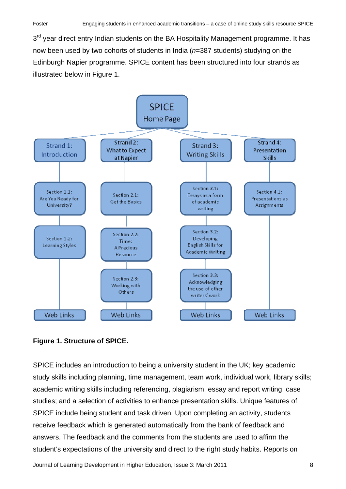$3<sup>rd</sup>$  year direct entry Indian students on the BA Hospitality Management programme. It has now been used by two cohorts of students in India (*n*=387 students) studying on the Edinburgh Napier programme. SPICE content has been structured into four strands as illustrated below in Figure 1.



### **Figure 1. Structure of SPICE.**

SPICE includes an introduction to being a university student in the UK; key academic study skills including planning, time management, team work, individual work, library skills; academic writing skills including referencing, plagiarism, essay and report writing, case studies; and a selection of activities to enhance presentation skills. Unique features of SPICE include being student and task driven. Upon completing an activity, students receive feedback which is generated automatically from the bank of feedback and answers. The feedback and the comments from the students are used to affirm the student's expectations of the university and direct to the right study habits. Reports on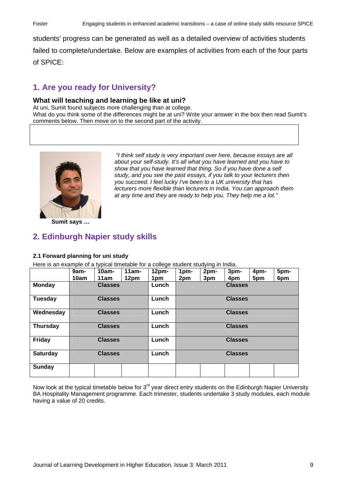students' progress can be generated as well as a detailed overview of activities students failed to complete/undertake. Below are examples of activities from each of the four parts of SPICE:

# **1. Are you ready for University?**

### **What will teaching and learning be like at uni?**

At uni, Sumit found subjects more challenging than at college.

What do you think some of the differences might be at uni? Write your answer in the box then read Sumit's comments below. Then move on to the second part of the activity.



 *"I think self study is very important over here, because essays are all about your self-study. It's all what you have learned and you have to show that you have learned that thing. So if you have done a self study, and you see the past essays, if you talk to your lecturers then you succeed. I feel lucky I've been to a UK university that has lecturers more flexible than lecturers in India. You can approach them at any time and they are ready to help you. They help me a lot."*

**Sumit says …** 

## **2. Edinburgh Napier study skills**

### **2.1 Forward planning for uni study**

Here is an example of a typical timetable for a college student studying in India.

|                 | 9am-<br>10am   | $10am -$<br>11am | $11am -$<br>12pm | 12 <sub>pm</sub><br>1pm | 1pm-<br>2pm    | … טיינ<br>2pm-<br>3pm | 3pm-<br>4pm | 4pm-<br>5pm | 5pm-<br>6pm |
|-----------------|----------------|------------------|------------------|-------------------------|----------------|-----------------------|-------------|-------------|-------------|
| <b>Monday</b>   |                | <b>Classes</b>   |                  | Lunch                   | <b>Classes</b> |                       |             |             |             |
| Tuesday         | <b>Classes</b> |                  |                  | Lunch                   | <b>Classes</b> |                       |             |             |             |
| Wednesday       | <b>Classes</b> |                  |                  | Lunch                   | <b>Classes</b> |                       |             |             |             |
| <b>Thursday</b> | <b>Classes</b> |                  |                  | Lunch                   | <b>Classes</b> |                       |             |             |             |
| Friday          | <b>Classes</b> |                  |                  | Lunch                   | <b>Classes</b> |                       |             |             |             |
| <b>Saturday</b> | <b>Classes</b> |                  |                  | Lunch                   | <b>Classes</b> |                       |             |             |             |
| Sunday          |                |                  |                  |                         |                |                       |             |             |             |

Now look at the typical timetable below for  $3<sup>rd</sup>$  year direct entry students on the Edinburgh Napier University BA Hospitality Management programme. Each trimester, students undertake 3 study modules, each module having a value of 20 credits.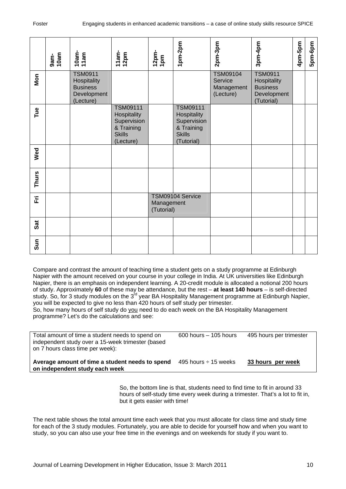|              | 9am-<br>10am                                                                                                                                                                                                                                                                                                                                                                                                                                                                                                                                                                                                                                                                                                                                                                                              | 10am-<br>11 am                                                               | $11$ am-<br>12pm                                                                          | 12pm-<br>1pm             | 1pm-2pm                                                                                    | 2pm-3pm                                               | 3pm-4pm                                                                       | 4pm-5pm | 5pm-6pm |
|--------------|-----------------------------------------------------------------------------------------------------------------------------------------------------------------------------------------------------------------------------------------------------------------------------------------------------------------------------------------------------------------------------------------------------------------------------------------------------------------------------------------------------------------------------------------------------------------------------------------------------------------------------------------------------------------------------------------------------------------------------------------------------------------------------------------------------------|------------------------------------------------------------------------------|-------------------------------------------------------------------------------------------|--------------------------|--------------------------------------------------------------------------------------------|-------------------------------------------------------|-------------------------------------------------------------------------------|---------|---------|
| Mon          |                                                                                                                                                                                                                                                                                                                                                                                                                                                                                                                                                                                                                                                                                                                                                                                                           | <b>TSM0911</b><br>Hospitality<br><b>Business</b><br>Development<br>(Lecture) |                                                                                           |                          |                                                                                            | <b>TSM09104</b><br>Service<br>Management<br>(Lecture) | <b>TSM0911</b><br>Hospitality<br><b>Business</b><br>Development<br>(Tutorial) |         |         |
| Tue          |                                                                                                                                                                                                                                                                                                                                                                                                                                                                                                                                                                                                                                                                                                                                                                                                           |                                                                              | <b>TSM09111</b><br>Hospitality<br>Supervision<br>& Training<br><b>Skills</b><br>(Lecture) |                          | <b>TSM09111</b><br>Hospitality<br>Supervision<br>& Training<br><b>Skills</b><br>(Tutorial) |                                                       |                                                                               |         |         |
| Wed          |                                                                                                                                                                                                                                                                                                                                                                                                                                                                                                                                                                                                                                                                                                                                                                                                           |                                                                              |                                                                                           |                          |                                                                                            |                                                       |                                                                               |         |         |
| <b>Thurs</b> |                                                                                                                                                                                                                                                                                                                                                                                                                                                                                                                                                                                                                                                                                                                                                                                                           |                                                                              |                                                                                           |                          |                                                                                            |                                                       |                                                                               |         |         |
| 돈            |                                                                                                                                                                                                                                                                                                                                                                                                                                                                                                                                                                                                                                                                                                                                                                                                           |                                                                              |                                                                                           | Management<br>(Tutorial) | TSM09104 Service                                                                           |                                                       |                                                                               |         |         |
| Sat          |                                                                                                                                                                                                                                                                                                                                                                                                                                                                                                                                                                                                                                                                                                                                                                                                           |                                                                              |                                                                                           |                          |                                                                                            |                                                       |                                                                               |         |         |
| Sun          |                                                                                                                                                                                                                                                                                                                                                                                                                                                                                                                                                                                                                                                                                                                                                                                                           |                                                                              |                                                                                           |                          |                                                                                            |                                                       |                                                                               |         |         |
|              | Compare and contrast the amount of teaching time a student gets on a study programme at Edinburgh<br>Napier with the amount received on your course in your college in India. At UK universities like Edinburgh<br>Napier, there is an emphasis on independent learning. A 20-credit module is allocated a notional 200 hours<br>of study. Approximately 60 of these may be attendance, but the rest - at least 140 hours - is self-directed<br>study. So, for 3 study modules on the 3 <sup>rd</sup> year BA Hospitality Management programme at Edinburgh Napier,<br>you will be expected to give no less than 420 hours of self study per trimester.<br>So, how many hours of self study do you need to do each week on the BA Hospitality Management<br>programme? Let's do the calculations and see: |                                                                              |                                                                                           |                          |                                                                                            |                                                       |                                                                               |         |         |
|              | $600$ hours $-105$ hours<br>495 hours per trimester<br>Total amount of time a student needs to spend on<br>independent study over a 15-week trimester (based<br>on 7 hours class time per week):                                                                                                                                                                                                                                                                                                                                                                                                                                                                                                                                                                                                          |                                                                              |                                                                                           |                          |                                                                                            |                                                       |                                                                               |         |         |
|              | Average amount of time a student needs to spend<br>495 hours $\div$ 15 weeks<br>33 hours per week<br>on independent study each week                                                                                                                                                                                                                                                                                                                                                                                                                                                                                                                                                                                                                                                                       |                                                                              |                                                                                           |                          |                                                                                            |                                                       |                                                                               |         |         |
|              | So, the bottom line is that, students need to find time to fit in around 33<br>hours of self-study time every week during a trimester. That's a lot to fit in,<br>but it gets easier with time!                                                                                                                                                                                                                                                                                                                                                                                                                                                                                                                                                                                                           |                                                                              |                                                                                           |                          |                                                                                            |                                                       |                                                                               |         |         |
|              | The next table shows the total amount time each week that you must allocate for class time and study time<br>for each of the 3 study modules. Fortunately, you are able to decide for yourself how and when you want to<br>study, so you can also use your free time in the evenings and on weekends for study if you want to.                                                                                                                                                                                                                                                                                                                                                                                                                                                                            |                                                                              |                                                                                           |                          |                                                                                            |                                                       |                                                                               |         |         |

| Average amount of time a student needs to spend<br>on independent study each week                                                         | 495 hours $\div$ 15 weeks | 33 hours per week       |
|-------------------------------------------------------------------------------------------------------------------------------------------|---------------------------|-------------------------|
| Total amount of time a student needs to spend on<br>independent study over a 15-week trimester (based<br>on 7 hours class time per week): | $600$ hours $-105$ hours  | 495 hours per trimester |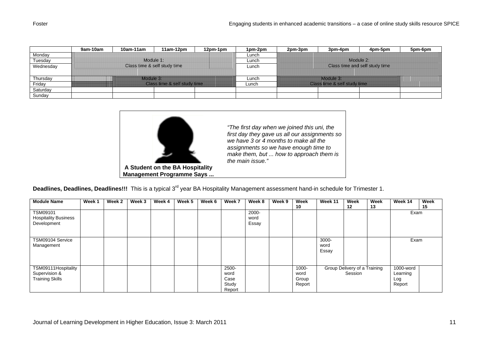|           | 9am-10am | 10am-11am | $11am-12pm$                  | 12pm-1pm | 1pm-2pm | 2pm-3pm | 3pm-4pm                      | 4pm-5pm                        | 5pm-6pm |
|-----------|----------|-----------|------------------------------|----------|---------|---------|------------------------------|--------------------------------|---------|
| Monday    |          |           |                              |          | Lunch   |         |                              |                                |         |
| Tuesday   |          |           | Module 1:                    |          | Lunch   |         | Module 2:                    |                                |         |
| Wednesday |          |           | Class time & self study time |          | Lunch   |         |                              | Class time and self study time |         |
|           |          |           |                              |          |         |         |                              |                                |         |
| Thursday  |          | Module 3: |                              |          | Lunch   |         | Module 3:                    |                                |         |
| Friday    |          |           | Class time & self study time |          | Lunch   |         | Class time & self study time |                                |         |
| Saturday  |          |           |                              |          |         |         |                              |                                |         |
| Sunday    |          |           |                              |          |         |         |                              |                                |         |



*"The first day when we joined this uni, the first day they gave us all our assignments so we have 3 or 4 months to make all the assignments so we have enough time to make them, but ... how to approach them is the main issue."* 

**Deadlines, Deadlines, Deadlines!!!** This is a typical 3rd year BA Hospitality Management assessment hand-in schedule for Trimester 1.

| <b>Module Name</b>                                             | Week 1 | Week 2 | Week 3 | Week 4 | Week 5 | Week 6 | Week 7                                   | Week 8                 | Week 9 | Week                             | Week 11                | Week                                    | Week | Week 14                                | Week |
|----------------------------------------------------------------|--------|--------|--------|--------|--------|--------|------------------------------------------|------------------------|--------|----------------------------------|------------------------|-----------------------------------------|------|----------------------------------------|------|
|                                                                |        |        |        |        |        |        |                                          |                        |        | 10                               |                        | 12                                      | 13   |                                        | 15   |
| TSM09101<br><b>Hospitality Business</b><br>Development         |        |        |        |        |        |        |                                          | 2000-<br>word<br>Essay |        |                                  |                        |                                         |      | Exam                                   |      |
| TSM09104 Service<br>Management                                 |        |        |        |        |        |        |                                          |                        |        |                                  | 3000-<br>word<br>Essay |                                         |      | Exam                                   |      |
| TSM09111Hospitality<br>Supervision &<br><b>Training Skills</b> |        |        |        |        |        |        | 2500-<br>word<br>Case<br>Study<br>Report |                        |        | 1000-<br>word<br>Group<br>Report |                        | Group Delivery of a Training<br>Session |      | 1000-word<br>Learning<br>Log<br>Report |      |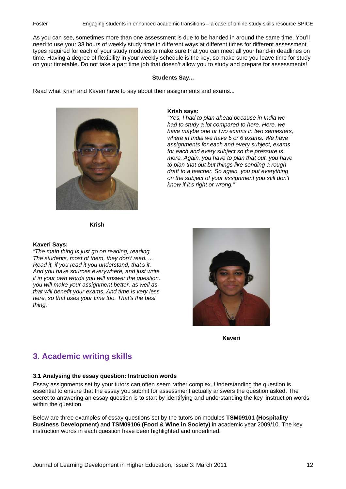As you can see, sometimes more than one assessment is due to be handed in around the same time. You'll need to use your 33 hours of weekly study time in different ways at different times for different assessment types required for each of your study modules to make sure that you can meet all your hand-in deadlines on time. Having a degree of flexibility in your weekly schedule is the key, so make sure you leave time for study on your timetable. Do not take a part time job that doesn't allow you to study and prepare for assessments!

#### **Students Say...**

Read what Krish and Kaveri have to say about their assignments and exams...



#### **Krish says:**

*"Yes, I had to plan ahead because in India we had to study a lot compared to here. Here, we have maybe one or two exams in two semesters, where in India we have 5 or 6 exams. We have assignments for each and every subject, exams for each and every subject so the pressure is more. Again, you have to plan that out, you have to plan that out but things like sending a rough draft to a teacher. So again, you put everything on the subject of your assignment you still don't know if it's right or wrong."* 

**Krish**

#### **Kaveri Says:**

*"The main thing is just go on reading, reading. The students, most of them, they don't read. ... Read it, if you read it you understand, that's it. And you have sources everywhere, and just write it in your own words you will answer the question, you will make your assignment better, as well as that will benefit your exams. And time is very less here, so that uses your time too. That's the best thing."* 



**Kaveri** 

### **3. Academic writing skills**

#### **3.1 Analysing the essay question: Instruction words**

Essay assignments set by your tutors can often seem rather complex. Understanding the question is essential to ensure that the essay you submit for assessment actually answers the question asked. The secret to answering an essay question is to start by identifying and understanding the key 'instruction words' within the question.

Below are three examples of essay questions set by the tutors on modules **TSM09101 (Hospitality Business Development)** and **TSM09106 (Food & Wine in Society)** in academic year 2009/10. The key instruction words in each question have been highlighted and underlined.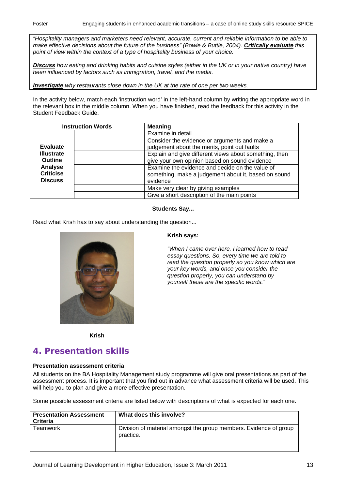*"Hospitality managers and marketers need relevant, accurate, current and reliable information to be able to make effective decisions about the future of the business" (Bowie & Buttle, 2004). Critically evaluate this point of view within the context of a type of hospitality business of your choice.* 

*Discuss how eating and drinking habits and cuisine styles (either in the UK or in your native country) have been influenced by factors such as immigration, travel, and the media.* 

*Investigate why restaurants close down in the UK at the rate of one per two weeks.* 

In the activity below, match each 'instruction word' in the left-hand column by writing the appropriate word in the relevant box in the middle column. When you have finished, read the feedback for this activity in the Student Feedback Guide.

| <b>Instruction Words</b> |  | <b>Meaning</b>                                         |
|--------------------------|--|--------------------------------------------------------|
|                          |  | Examine in detail                                      |
|                          |  | Consider the evidence or arguments and make a          |
| <b>Evaluate</b>          |  | judgement about the merits, point out faults           |
| <b>Illustrate</b>        |  | Explain and give different views about something, then |
| <b>Outline</b>           |  | give your own opinion based on sound evidence          |
| Analyse                  |  | Examine the evidence and decide on the value of        |
| <b>Criticise</b>         |  | something, make a judgement about it, based on sound   |
| <b>Discuss</b>           |  | evidence                                               |
|                          |  | Make very clear by giving examples                     |
|                          |  | Give a short description of the main points            |

#### **Students Say...**

Read what Krish has to say about understanding the question...



#### **Krish says:**

*"When I came over here, I learned how to read essay questions. So, every time we are told to read the question properly so you know which are your key words, and once you consider the question properly, you can understand by yourself these are the specific words."* 

**Krish** 

### **4. Presentation skills**

#### **Presentation assessment criteria**

All students on the BA Hospitality Management study programme will give oral presentations as part of the assessment process. It is important that you find out in advance what assessment criteria will be used. This will help you to plan and give a more effective presentation.

Some possible assessment criteria are listed below with descriptions of what is expected for each one.

| <b>Presentation Assessment</b><br><b>Criteria</b> | What does this involve?                                                        |
|---------------------------------------------------|--------------------------------------------------------------------------------|
| Teamwork                                          | Division of material amongst the group members. Evidence of group<br>practice. |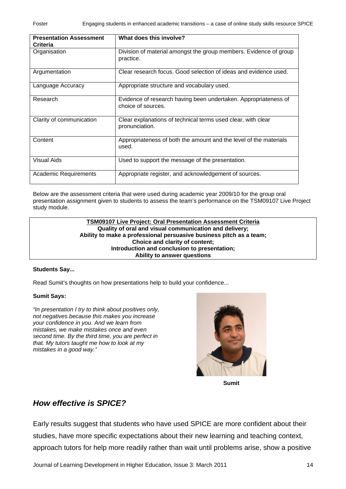| <b>Presentation Assessment</b><br><b>Criteria</b> | What does this involve?                                                               |
|---------------------------------------------------|---------------------------------------------------------------------------------------|
| Organisation                                      | Division of material amongst the group members. Evidence of group<br>practice.        |
| Argumentation                                     | Clear research focus. Good selection of ideas and evidence used.                      |
| Language Accuracy                                 | Appropriate structure and vocabulary used.                                            |
| Research                                          | Evidence of research having been undertaken. Appropriateness of<br>choice of sources. |
| Clarity of communication                          | Clear explanations of technical terms used clear, with clear<br>pronunciation.        |
| Content                                           | Appropriateness of both the amount and the level of the materials<br>used.            |
| Visual Aids                                       | Used to support the message of the presentation.                                      |
| <b>Academic Requirements</b>                      | Appropriate register, and acknowledgement of sources.                                 |

Below are the assessment criteria that were used during academic year 2009/10 for the group oral presentation assignment given to students to assess the team's performance on the TSM09107 Live Project study module.

#### **TSM09107 Live Project: Oral Presentation Assessment Criteria Quality of oral and visual communication and delivery; Ability to make a professional persuasive business pitch as a team; Choice and clarity of content; Introduction and conclusion to presentation; Ability to answer questions**

### **Students Say...**

Read Sumit's thoughts on how presentations help to build your confidence...

### **Sumit Says:**

*"In presentation I try to think about positives only, not negatives because this makes you increase your confidence in you. And we learn from mistakes, we make mistakes once and even second time. By the third time, you are perfect in that. My tutors taught me how to look at my mistakes in a good way."* 



**Sumit** 

## *How effective is SPICE?*

Early results suggest that students who have used SPICE are more confident about their studies, have more specific expectations about their new learning and teaching context, approach tutors for help more readily rather than wait until problems arise, show a positive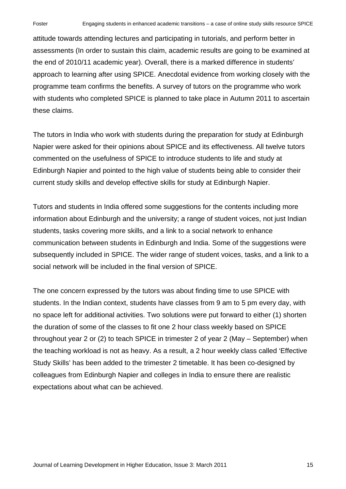attitude towards attending lectures and participating in tutorials, and perform better in assessments (In order to sustain this claim, academic results are going to be examined at the end of 2010/11 academic year). Overall, there is a marked difference in students' approach to learning after using SPICE. Anecdotal evidence from working closely with the programme team confirms the benefits. A survey of tutors on the programme who work with students who completed SPICE is planned to take place in Autumn 2011 to ascertain these claims.

The tutors in India who work with students during the preparation for study at Edinburgh Napier were asked for their opinions about SPICE and its effectiveness. All twelve tutors commented on the usefulness of SPICE to introduce students to life and study at Edinburgh Napier and pointed to the high value of students being able to consider their current study skills and develop effective skills for study at Edinburgh Napier.

Tutors and students in India offered some suggestions for the contents including more information about Edinburgh and the university; a range of student voices, not just Indian students, tasks covering more skills, and a link to a social network to enhance communication between students in Edinburgh and India. Some of the suggestions were subsequently included in SPICE. The wider range of student voices, tasks, and a link to a social network will be included in the final version of SPICE.

The one concern expressed by the tutors was about finding time to use SPICE with students. In the Indian context, students have classes from 9 am to 5 pm every day, with no space left for additional activities. Two solutions were put forward to either (1) shorten the duration of some of the classes to fit one 2 hour class weekly based on SPICE throughout year 2 or (2) to teach SPICE in trimester 2 of year 2 (May – September) when the teaching workload is not as heavy. As a result, a 2 hour weekly class called 'Effective Study Skills' has been added to the trimester 2 timetable. It has been co-designed by colleagues from Edinburgh Napier and colleges in India to ensure there are realistic expectations about what can be achieved.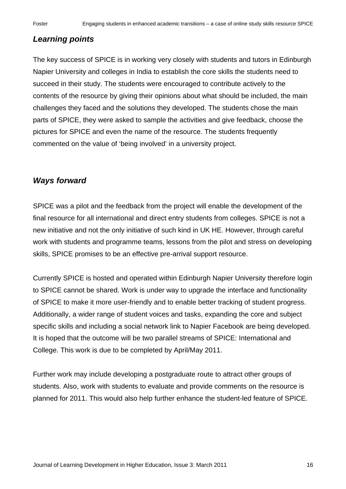## *Learning points*

The key success of SPICE is in working very closely with students and tutors in Edinburgh Napier University and colleges in India to establish the core skills the students need to succeed in their study. The students were encouraged to contribute actively to the contents of the resource by giving their opinions about what should be included, the main challenges they faced and the solutions they developed. The students chose the main parts of SPICE, they were asked to sample the activities and give feedback, choose the pictures for SPICE and even the name of the resource. The students frequently commented on the value of 'being involved' in a university project.

## *Ways forward*

SPICE was a pilot and the feedback from the project will enable the development of the final resource for all international and direct entry students from colleges. SPICE is not a new initiative and not the only initiative of such kind in UK HE. However, through careful work with students and programme teams, lessons from the pilot and stress on developing skills, SPICE promises to be an effective pre-arrival support resource.

Currently SPICE is hosted and operated within Edinburgh Napier University therefore login to SPICE cannot be shared. Work is under way to upgrade the interface and functionality of SPICE to make it more user-friendly and to enable better tracking of student progress. Additionally, a wider range of student voices and tasks, expanding the core and subject specific skills and including a social network link to Napier Facebook are being developed. It is hoped that the outcome will be two parallel streams of SPICE: International and College. This work is due to be completed by April/May 2011.

Further work may include developing a postgraduate route to attract other groups of students. Also, work with students to evaluate and provide comments on the resource is planned for 2011. This would also help further enhance the student-led feature of SPICE.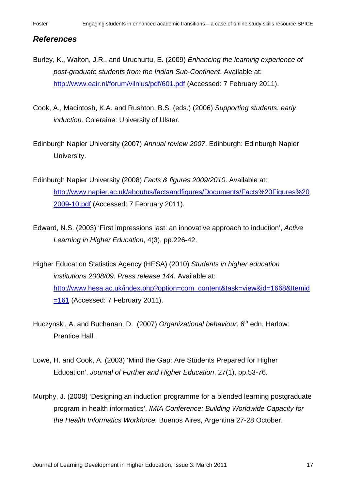### *References*

- Burley, K., Walton, J.R., and Uruchurtu, E. (2009) *Enhancing the learning experience of post-graduate students from the Indian Sub-Continent*. Available at: <http://www.eair.nl/forum/vilnius/pdf/601.pdf> (Accessed: 7 February 2011).
- Cook, A., Macintosh, K.A. and Rushton, B.S. (eds.) (2006) *Supporting students: early induction*. Coleraine: University of Ulster.
- Edinburgh Napier University (2007) *Annual review 2007*. Edinburgh: Edinburgh Napier University.
- Edinburgh Napier University (2008) *Facts & figures 2009/2010*. Available at: [http://www.napier.ac.uk/aboutus/factsandfigures/Documents/Facts%20Figures%20](http://www.napier.ac.uk/aboutus/factsandfigures/Documents/Facts%20Figures%202009-10.pdf) [2009-10.pdf](http://www.napier.ac.uk/aboutus/factsandfigures/Documents/Facts%20Figures%202009-10.pdf) (Accessed: 7 February 2011).
- Edward, N.S. (2003) 'First impressions last: an innovative approach to induction', *Active Learning in Higher Education*, 4(3), pp.226-42.
- Higher Education Statistics Agency (HESA) (2010) *Students in higher education institutions 2008/09. Press release 144*. Available at: [http://www.hesa.ac.uk/index.php?option=com\\_content&task=view&id=1668&Itemid](http://www.hesa.ac.uk/index.php?option=com_content&task=view&id=1668&Itemid=161)  $=161$  (Accessed: 7 February 2011).
- Huczynski, A. and Buchanan, D. (2007) *Organizational behaviour*. 6<sup>th</sup> edn. Harlow: Prentice Hall.
- Lowe, H. and Cook, A. (2003) 'Mind the Gap: Are Students Prepared for Higher Education', *Journal of Further and Higher Education*, 27(1), pp.53-76.
- Murphy, J. (2008) 'Designing an induction programme for a blended learning postgraduate program in health informatics', *IMIA Conference: Building Worldwide Capacity for the Health Informatics Workforce.* Buenos Aires, Argentina 27-28 October.